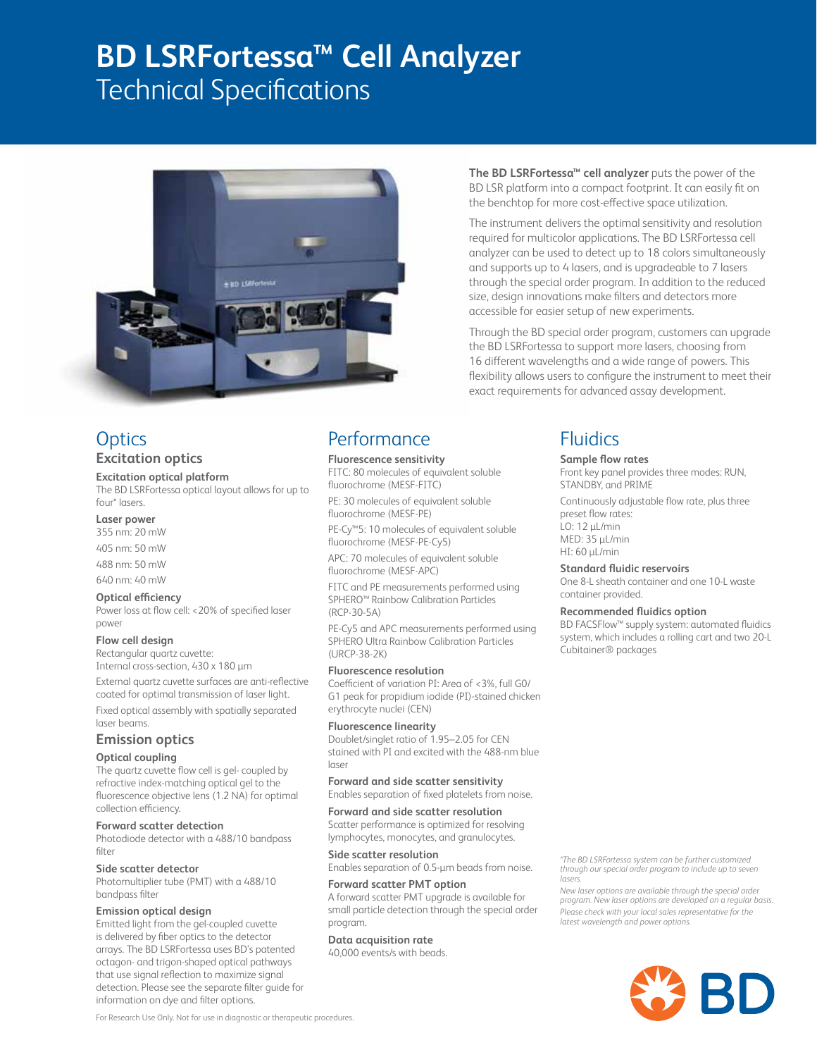# **BD LSRFortessa™ Cell Analyzer**

Technical Specifications



## **Optics Excitation optics**

### **Excitation optical platform**

The BD LSRFortessa optical layout allows for up to four\* lasers.

### **Laser power**

355 nm: 20 mW

405 nm: 50 mW

488 nm: 50 mW

### 640 nm: 40 mW

### **Optical efficiency**

Power loss at flow cell: <20% of specified laser power

### **Flow cell design**

Rectangular quartz cuvette: Internal cross-section, 430 x 180 µm

External quartz cuvette surfaces are anti-reflective coated for optimal transmission of laser light.

Fixed optical assembly with spatially separated laser beams.

### **Emission optics**

### **Optical coupling**

The quartz cuvette flow cell is gel- coupled by refractive index-matching optical gel to the fluorescence objective lens (1.2 NA) for optimal collection efficiency.

### **Forward scatter detection**

Photodiode detector with a 488/10 bandpass filter

### **Side scatter detector**

Photomultiplier tube (PMT) with a 488/10 bandpass filter

### **Emission optical design**

Emitted light from the gel-coupled cuvette is delivered by fiber optics to the detector arrays. The BD LSRFortessa uses BD's patented octagon- and trigon-shaped optical pathways that use signal reflection to maximize signal detection. Please see the separate filter guide for information on dye and filter options.

## **Performance**

**Fluorescence sensitivity** FITC: 80 molecules of equivalent soluble fluorochrome (MESF-FITC)

PE: 30 molecules of equivalent soluble fluorochrome (MESF-PE)

PE-Cy™5: 10 molecules of equivalent soluble fluorochrome (MESF-PE-Cy5)

APC: 70 molecules of equivalent soluble fluorochrome (MESF-APC)

FITC and PE measurements performed using SPHERO™ Rainbow Calibration Particles (RCP-30-5A)

PE-Cy5 and APC measurements performed using SPHERO Ultra Rainbow Calibration Particles (URCP-38-2K)

### **Fluorescence resolution**

Coefficient of variation PI: Area of <3%, full G0/ G1 peak for propidium iodide (PI)-stained chicken erythrocyte nuclei (CEN)

### **Fluorescence linearity**

Doublet/singlet ratio of 1.95–2.05 for CEN stained with PI and excited with the 488-nm blue laser

### **Forward and side scatter sensitivity** Enables separation of fixed platelets from noise.

**Forward and side scatter resolution**

Scatter performance is optimized for resolving lymphocytes, monocytes, and granulocytes.

### **Side scatter resolution**

Enables separation of 0.5-µm beads from noise.

### **Forward scatter PMT option** A forward scatter PMT upgrade is available for

small particle detection through the special order program.

## **Data acquisition rate**

40,000 events/s with beads.

**The BD LSRFortessa™ cell analyzer** puts the power of the BD LSR platform into a compact footprint. It can easily fit on the benchtop for more cost-effective space utilization.

The instrument delivers the optimal sensitivity and resolution required for multicolor applications. The BD LSRFortessa cell analyzer can be used to detect up to 18 colors simultaneously and supports up to 4 lasers, and is upgradeable to 7 lasers through the special order program. In addition to the reduced size, design innovations make filters and detectors more accessible for easier setup of new experiments.

Through the BD special order program, customers can upgrade the BD LSRFortessa to support more lasers, choosing from 16 different wavelengths and a wide range of powers. This flexibility allows users to configure the instrument to meet their exact requirements for advanced assay development.

## **Fluidics**

### **Sample flow rates**

Front key panel provides three modes: RUN, STANDBY, and PRIME

Continuously adjustable flow rate, plus three preset flow rates: LO: 12 µL/min MED: 35 µL/min HI: 60 µL/min

### **Standard fluidic reservoirs**

One 8-L sheath container and one 10-L waste container provided.

### **Recommended fluidics option**

BD FACSFlow™ supply system: automated fluidics system, which includes a rolling cart and two 20-L Cubitainer® packages

*\*The BD LSRFortessa system can be further customized through our special order program to include up to seven lasers.*

*New laser options are available through the special order program. New laser options are developed on a regular basis. Please check with your local sales representative for the latest wavelength and power options.*



For Research Use Only. Not for use in diagnostic or therapeutic procedures.